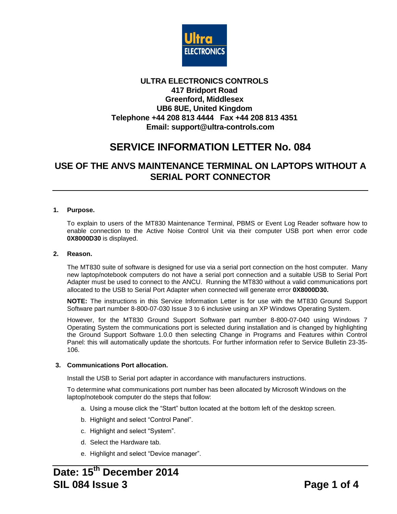

# **ULTRA ELECTRONICS CONTROLS 417 Bridport Road Greenford, Middlesex UB6 8UE, United Kingdom Telephone +44 208 813 4444 Fax +44 208 813 4351 Email: support@ultra-controls.com**

# **SERVICE INFORMATION LETTER No. 084**

# **USE OF THE ANVS MAINTENANCE TERMINAL ON LAPTOPS WITHOUT A SERIAL PORT CONNECTOR**

# **1. Purpose.**

To explain to users of the MT830 Maintenance Terminal, PBMS or Event Log Reader software how to enable connection to the Active Noise Control Unit via their computer USB port when error code **0X8000D30** is displayed.

#### **2. Reason.**

The MT830 suite of software is designed for use via a serial port connection on the host computer. Many new laptop/notebook computers do not have a serial port connection and a suitable USB to Serial Port Adapter must be used to connect to the ANCU. Running the MT830 without a valid communications port allocated to the USB to Serial Port Adapter when connected will generate error **0X8000D30.**

**NOTE:** The instructions in this Service Information Letter is for use with the MT830 Ground Support Software part number 8-800-07-030 Issue 3 to 6 inclusive using an XP Windows Operating System.

However, for the MT830 Ground Support Software part number 8-800-07-040 using Windows 7 Operating System the communications port is selected during installation and is changed by highlighting the Ground Support Software 1.0.0 then selecting Change in Programs and Features within Control Panel: this will automatically update the shortcuts. For further information refer to Service Bulletin 23-35- 106.

### **3. Communications Port allocation.**

Install the USB to Serial port adapter in accordance with manufacturers instructions.

To determine what communications port number has been allocated by Microsoft Windows on the laptop/notebook computer do the steps that follow:

- a. Using a mouse click the "Start" button located at the bottom left of the desktop screen.
- b. Highlight and select "Control Panel".
- c. Highlight and select "System".
- d. Select the Hardware tab.
- e. Highlight and select "Device manager".

# **Date: 15 th December 2014 SIL 084 Issue 3 Page 1 of 4**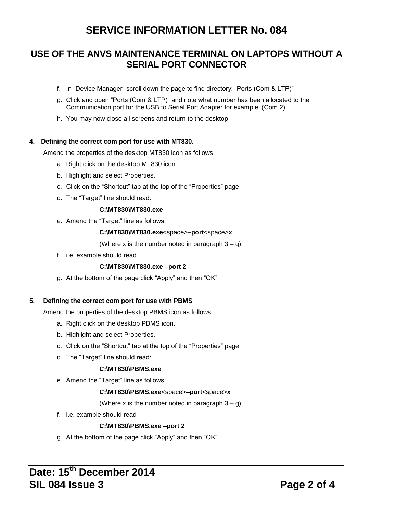# **SERVICE INFORMATION LETTER No. 084**

# **USE OF THE ANVS MAINTENANCE TERMINAL ON LAPTOPS WITHOUT A SERIAL PORT CONNECTOR**

- f. In "Device Manager" scroll down the page to find directory: "Ports (Com & LTP)"
- g. Click and open "Ports (Com & LTP)" and note what number has been allocated to the Communication port for the USB to Serial Port Adapter for example: (Com 2).
- h. You may now close all screens and return to the desktop.

## **4. Defining the correct com port for use with MT830.**

Amend the properties of the desktop MT830 icon as follows:

- a. Right click on the desktop MT830 icon.
- b. Highlight and select Properties.
- c. Click on the "Shortcut" tab at the top of the "Properties" page.
- d. The "Target" line should read:

# **C:\MT830\MT830.exe**

e. Amend the "Target" line as follows:

### **C:\MT830\MT830.exe**<space>**–port**<space>**x**

- (Where x is the number noted in paragraph  $3 g$ )
- f. i.e. example should read

# **C:\MT830\MT830.exe –port 2**

g. At the bottom of the page click "Apply" and then "OK"

### **5. Defining the correct com port for use with PBMS**

Amend the properties of the desktop PBMS icon as follows:

- a. Right click on the desktop PBMS icon.
- b. Highlight and select Properties.
- c. Click on the "Shortcut" tab at the top of the "Properties" page.
- d. The "Target" line should read:

### **C:\MT830\PBMS.exe**

e. Amend the "Target" line as follows:

### **C:\MT830\PBMS.exe**<space>**–port**<space>**x**

# (Where x is the number noted in paragraph  $3 - g$ )

f. i.e. example should read

# **C:\MT830\PBMS.exe –port 2**

g. At the bottom of the page click "Apply" and then "OK"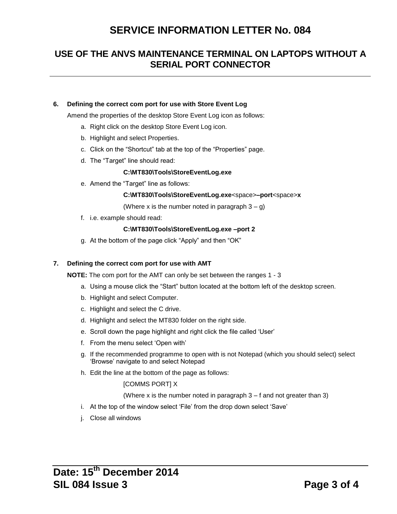# **SERVICE INFORMATION LETTER No. 084**

# **USE OF THE ANVS MAINTENANCE TERMINAL ON LAPTOPS WITHOUT A SERIAL PORT CONNECTOR**

## **6. Defining the correct com port for use with Store Event Log**

Amend the properties of the desktop Store Event Log icon as follows:

- a. Right click on the desktop Store Event Log icon.
- b. Highlight and select Properties.
- c. Click on the "Shortcut" tab at the top of the "Properties" page.
- d. The "Target" line should read:

#### **C:\MT830\Tools\StoreEventLog.exe**

e. Amend the "Target" line as follows:

#### **C:\MT830\Tools\StoreEventLog.exe**<space>**–port**<space>**x**

(Where x is the number noted in paragraph  $3 - g$ )

f. i.e. example should read:

#### **C:\MT830\Tools\StoreEventLog.exe –port 2**

g. At the bottom of the page click "Apply" and then "OK"

#### **7. Defining the correct com port for use with AMT**

**NOTE:** The com port for the AMT can only be set between the ranges 1 - 3

- a. Using a mouse click the "Start" button located at the bottom left of the desktop screen.
- b. Highlight and select Computer.
- c. Highlight and select the C drive.
- d. Highlight and select the MT830 folder on the right side.
- e. Scroll down the page highlight and right click the file called "User"
- f. From the menu select "Open with"
- g. If the recommended programme to open with is not Notepad (which you should select) select "Browse" navigate to and select Notepad
- h. Edit the line at the bottom of the page as follows:

### [COMMS PORT] X

(Where x is the number noted in paragraph 3 – f and not greater than 3)

- i. At the top of the window select 'File' from the drop down select 'Save'
- j. Close all windows